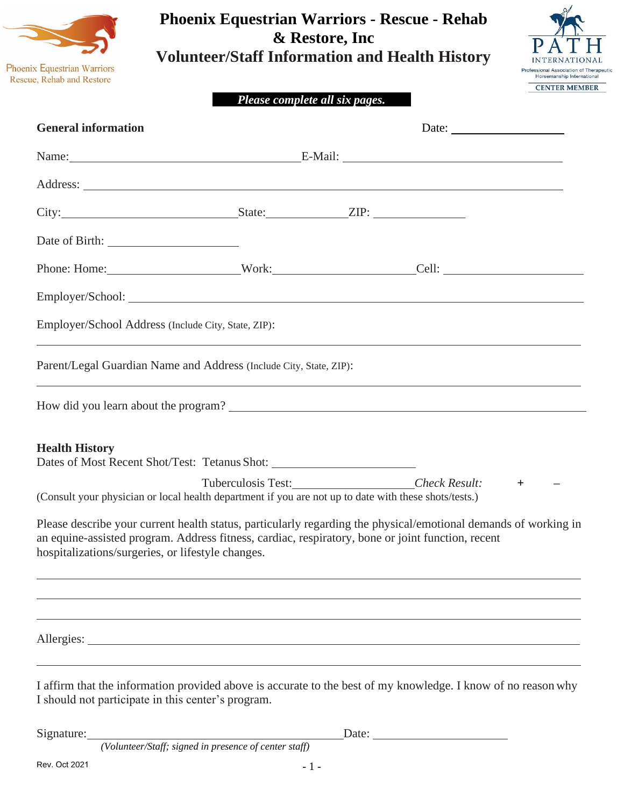

# **Phoenix Equestrian Warriors - Rescue - Rehab & Restore, Inc Volunteer/Staff Information and Health History**



## *Please complete all six pages.*

| <b>General information</b>                                                                                                                                                                                                                                                |                       |  | Date: $\frac{1}{\sqrt{1-\frac{1}{2}}\sqrt{1-\frac{1}{2}}\sqrt{1-\frac{1}{2}}\sqrt{1-\frac{1}{2}}\sqrt{1-\frac{1}{2}}\sqrt{1-\frac{1}{2}}\sqrt{1-\frac{1}{2}}\sqrt{1-\frac{1}{2}}\sqrt{1-\frac{1}{2}}\sqrt{1-\frac{1}{2}}\sqrt{1-\frac{1}{2}}\sqrt{1-\frac{1}{2}}\sqrt{1-\frac{1}{2}}\sqrt{1-\frac{1}{2}}\sqrt{1-\frac{1}{2}}\sqrt{1-\frac{1}{2}}\sqrt{1-\frac{1}{2}}\sqrt{1-\frac{1}{2}}\sqrt{1-\frac{1}{2}}$ |     |  |
|---------------------------------------------------------------------------------------------------------------------------------------------------------------------------------------------------------------------------------------------------------------------------|-----------------------|--|---------------------------------------------------------------------------------------------------------------------------------------------------------------------------------------------------------------------------------------------------------------------------------------------------------------------------------------------------------------------------------------------------------------|-----|--|
|                                                                                                                                                                                                                                                                           | Name: E-Mail: E-Mail: |  |                                                                                                                                                                                                                                                                                                                                                                                                               |     |  |
|                                                                                                                                                                                                                                                                           |                       |  |                                                                                                                                                                                                                                                                                                                                                                                                               |     |  |
|                                                                                                                                                                                                                                                                           |                       |  |                                                                                                                                                                                                                                                                                                                                                                                                               |     |  |
|                                                                                                                                                                                                                                                                           |                       |  |                                                                                                                                                                                                                                                                                                                                                                                                               |     |  |
|                                                                                                                                                                                                                                                                           |                       |  |                                                                                                                                                                                                                                                                                                                                                                                                               |     |  |
|                                                                                                                                                                                                                                                                           |                       |  |                                                                                                                                                                                                                                                                                                                                                                                                               |     |  |
| Employer/School Address (Include City, State, ZIP):                                                                                                                                                                                                                       |                       |  |                                                                                                                                                                                                                                                                                                                                                                                                               |     |  |
| Parent/Legal Guardian Name and Address (Include City, State, ZIP):                                                                                                                                                                                                        |                       |  |                                                                                                                                                                                                                                                                                                                                                                                                               |     |  |
|                                                                                                                                                                                                                                                                           |                       |  |                                                                                                                                                                                                                                                                                                                                                                                                               |     |  |
| <b>Health History</b><br>Dates of Most Recent Shot/Test: Tetanus Shot: ___________________________________                                                                                                                                                                |                       |  |                                                                                                                                                                                                                                                                                                                                                                                                               |     |  |
| (Consult your physician or local health department if you are not up to date with these shots/tests.)                                                                                                                                                                     |                       |  | Tuberculosis Test: Check Result:                                                                                                                                                                                                                                                                                                                                                                              | $+$ |  |
| Please describe your current health status, particularly regarding the physical/emotional demands of working in<br>an equine-assisted program. Address fitness, cardiac, respiratory, bone or joint function, recent<br>hospitalizations/surgeries, or lifestyle changes. |                       |  |                                                                                                                                                                                                                                                                                                                                                                                                               |     |  |
|                                                                                                                                                                                                                                                                           |                       |  |                                                                                                                                                                                                                                                                                                                                                                                                               |     |  |
|                                                                                                                                                                                                                                                                           |                       |  |                                                                                                                                                                                                                                                                                                                                                                                                               |     |  |
| I affirm that the information provided above is accurate to the best of my knowledge. I know of no reason why<br>I should not participate in this center's program.                                                                                                       |                       |  |                                                                                                                                                                                                                                                                                                                                                                                                               |     |  |
| Signature:<br>(Volunteer/Staff; signed in presence of center staff)                                                                                                                                                                                                       |                       |  | Date: $\qquad \qquad$                                                                                                                                                                                                                                                                                                                                                                                         |     |  |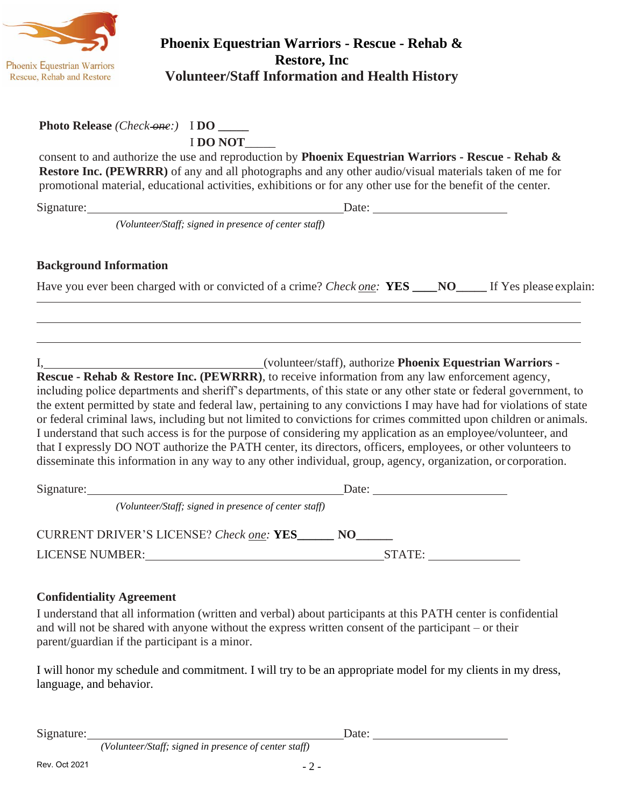

# **Phoenix Equestrian Warriors - Rescue - Rehab & Restore, Inc Volunteer/Staff Information and Health History**

## **Photo Release** *(Check one:)* I **DO \_\_\_\_\_**

I **DO NOT**\_\_\_\_\_

consent to and authorize the use and reproduction by **Phoenix Equestrian Warriors - Rescue - Rehab & Restore Inc. (PEWRRR)** of any and all photographs and any other audio/visual materials taken of me for promotional material, educational activities, exhibitions or for any other use for the benefit of the center.

Signature: Date: Date:

*(Volunteer/Staff; signed in presence of center staff)*

# **Background Information**

Have you ever been charged with or convicted of a crime? *Check one:* **YES \_\_\_\_NO\_\_\_\_\_** If Yes please explain:

I, (volunteer/staff), authorize **Phoenix Equestrian Warriors -**

**Rescue - Rehab & Restore Inc. (PEWRRR)**, to receive information from any law enforcement agency, including police departments and sheriff's departments, of this state or any other state or federal government, to the extent permitted by state and federal law, pertaining to any convictions I may have had for violations of state or federal criminal laws, including but not limited to convictions for crimes committed upon children or animals. I understand that such access is for the purpose of considering my application as an employee/volunteer, and that I expressly DO NOT authorize the PATH center, its directors, officers, employees, or other volunteers to disseminate this information in any way to any other individual, group, agency, organization, or corporation.

Signature: Date: Date: Date: *(Volunteer/Staff; signed in presence of center staff)* CURRENT DRIVER'S LICENSE? *Check one:* **YES\_\_\_\_\_\_ NO\_\_\_\_\_\_** LICENSE NUMBER: STATE:

### **Confidentiality Agreement**

I understand that all information (written and verbal) about participants at this PATH center is confidential and will not be shared with anyone without the express written consent of the participant – or their parent/guardian if the participant is a minor.

I will honor my schedule and commitment. I will try to be an appropriate model for my clients in my dress, language, and behavior.

Signature: Date:

*(Volunteer/Staff; signed in presence of center staff)*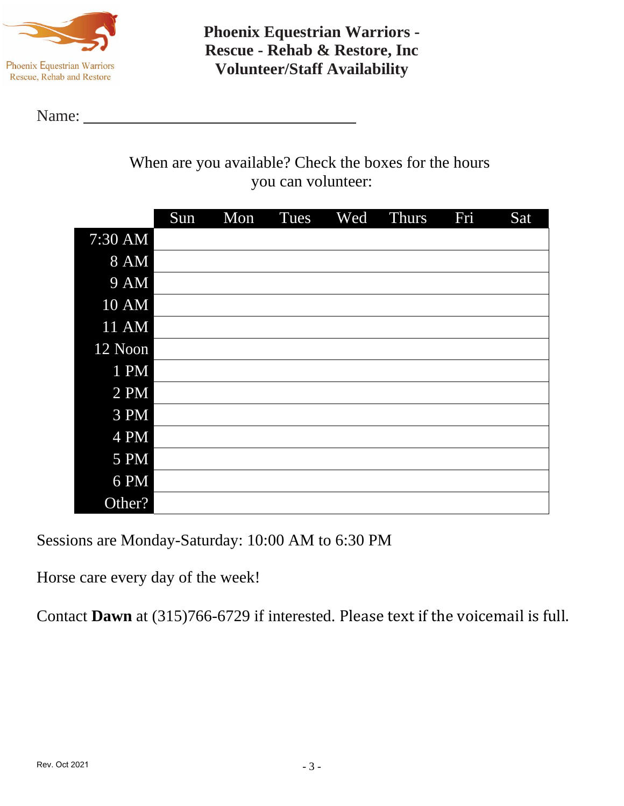

**Phoenix Equestrian Warriors - Rescue - Rehab & Restore, Inc Volunteer/Staff Availability**

Name:

When are you available? Check the boxes for the hours you can volunteer:

|              | Sun | Mon | Tues | Wed | <b>Thurs</b> | Fri | Sat |
|--------------|-----|-----|------|-----|--------------|-----|-----|
| 7:30 AM      |     |     |      |     |              |     |     |
| 8 AM         |     |     |      |     |              |     |     |
| <b>9 AM</b>  |     |     |      |     |              |     |     |
| <b>10 AM</b> |     |     |      |     |              |     |     |
| 11 AM        |     |     |      |     |              |     |     |
| 12 Noon      |     |     |      |     |              |     |     |
| 1 PM         |     |     |      |     |              |     |     |
| 2 PM         |     |     |      |     |              |     |     |
| 3 PM         |     |     |      |     |              |     |     |
| 4 PM         |     |     |      |     |              |     |     |
| 5 PM         |     |     |      |     |              |     |     |
| 6 PM         |     |     |      |     |              |     |     |
| Other?       |     |     |      |     |              |     |     |

Sessions are Monday-Saturday: 10:00 AM to 6:30 PM

Horse care every day of the week!

Contact **Dawn** at (315)766-6729 if interested. Please text if the voicemail is full.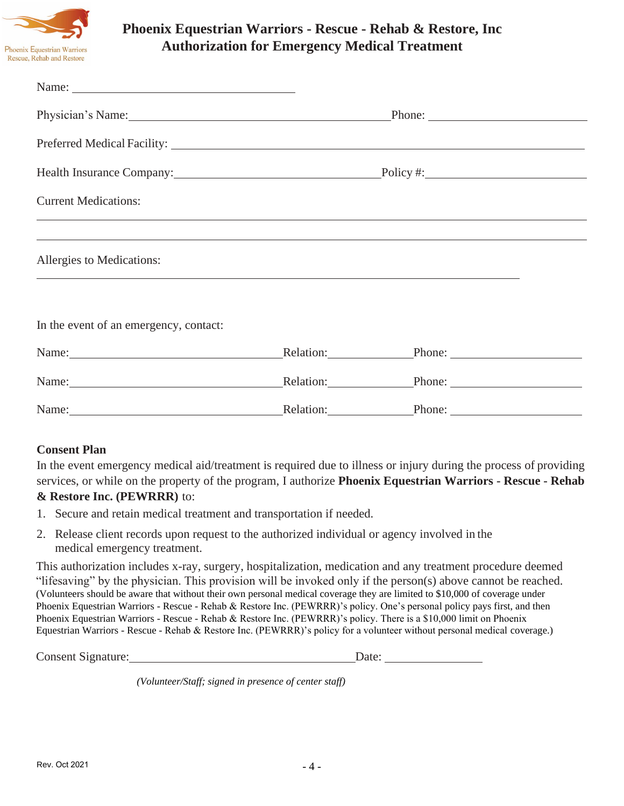

# **Phoenix Equestrian Warriors - Rescue - Rehab & Restore, Inc Authorization for Emergency Medical Treatment**

| Physician's Name: 1988                                                                                                                                                                                                         |                     | Phone:                               |  |
|--------------------------------------------------------------------------------------------------------------------------------------------------------------------------------------------------------------------------------|---------------------|--------------------------------------|--|
|                                                                                                                                                                                                                                |                     |                                      |  |
| Health Insurance Company: Policy #: Policy #:                                                                                                                                                                                  |                     |                                      |  |
| <b>Current Medications:</b>                                                                                                                                                                                                    |                     |                                      |  |
| Allergies to Medications:                                                                                                                                                                                                      |                     |                                      |  |
| In the event of an emergency, contact:                                                                                                                                                                                         |                     |                                      |  |
| Name:                                                                                                                                                                                                                          | Relation: Relation: | $\blacksquare$ Phone: $\blacksquare$ |  |
| Name: Name and the set of the set of the set of the set of the set of the set of the set of the set of the set of the set of the set of the set of the set of the set of the set of the set of the set of the set of the set o |                     | Relation: Phone: Phone:              |  |
| Name:                                                                                                                                                                                                                          |                     | Relation: Phone:                     |  |

#### **Consent Plan**

In the event emergency medical aid/treatment is required due to illness or injury during the process of providing services, or while on the property of the program, I authorize **Phoenix Equestrian Warriors - Rescue - Rehab & Restore Inc. (PEWRRR)** to:

- 1. Secure and retain medical treatment and transportation if needed.
- 2. Release client records upon request to the authorized individual or agency involved in the medical emergency treatment.

This authorization includes x-ray, surgery, hospitalization, medication and any treatment procedure deemed "lifesaving" by the physician. This provision will be invoked only if the person(s) above cannot be reached. (Volunteers should be aware that without their own personal medical coverage they are limited to \$10,000 of coverage under Phoenix Equestrian Warriors - Rescue - Rehab & Restore Inc. (PEWRRR)'s policy. One's personal policy pays first, and then Phoenix Equestrian Warriors - Rescue - Rehab & Restore Inc. (PEWRRR)'s policy. There is a \$10,000 limit on Phoenix Equestrian Warriors - Rescue - Rehab & Restore Inc. (PEWRRR)'s policy for a volunteer without personal medical coverage.)

Consent Signature: Date:

*(Volunteer/Staff; signed in presence of center staff)*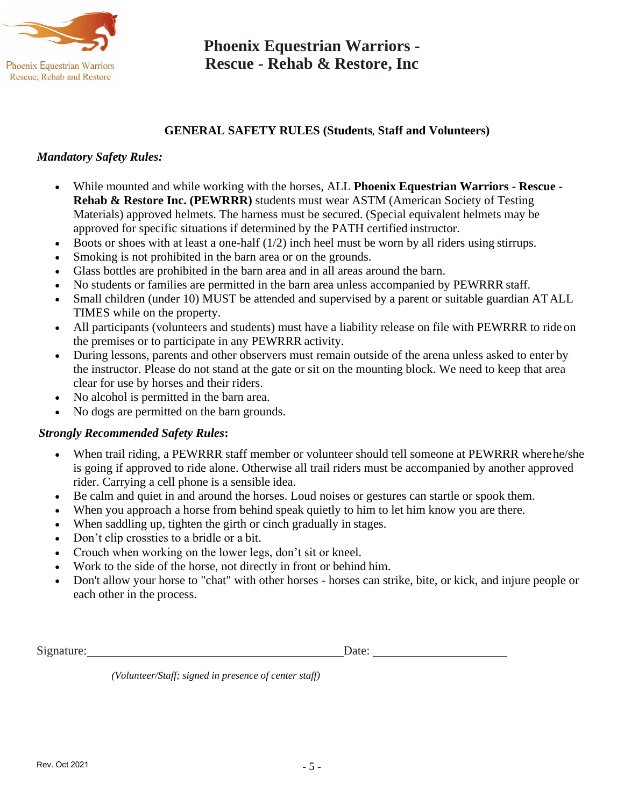

# **Phoenix Equestrian Warriors - Rescue - Rehab & Restore, Inc**

### **GENERAL SAFETY RULES (Students**, **Staff and Volunteers)**

#### *Mandatory Safety Rules:*

- While mounted and while working with the horses, ALL **Phoenix Equestrian Warriors - Rescue - Rehab & Restore Inc. (PEWRRR)** students must wear ASTM (American Society of Testing Materials) approved helmets. The harness must be secured. (Special equivalent helmets may be approved for specific situations if determined by the PATH certified instructor.
- Boots or shoes with at least a one-half  $(1/2)$  inch heel must be worn by all riders using stirrups.
- Smoking is not prohibited in the barn area or on the grounds.
- Glass bottles are prohibited in the barn area and in all areas around the barn.
- No students or families are permitted in the barn area unless accompanied by PEWRRR staff.
- Small children (under 10) MUST be attended and supervised by a parent or suitable guardian ATALL TIMES while on the property.
- All participants (volunteers and students) must have a liability release on file with PEWRRR to ride on the premises or to participate in any PEWRRR activity.
- During lessons, parents and other observers must remain outside of the arena unless asked to enter by the instructor. Please do not stand at the gate or sit on the mounting block. We need to keep that area clear for use by horses and their riders.
- No alcohol is permitted in the barn area.
- No dogs are permitted on the barn grounds.

#### *Strongly Recommended Safety Rules***:**

- When trail riding, a PEWRRR staff member or volunteer should tell someone at PEWRRR where he/she is going if approved to ride alone. Otherwise all trail riders must be accompanied by another approved rider. Carrying a cell phone is a sensible idea.
- Be calm and quiet in and around the horses. Loud noises or gestures can startle or spook them.
- When you approach a horse from behind speak quietly to him to let him know you are there.
- When saddling up, tighten the girth or cinch gradually in stages.
- Don't clip crossties to a bridle or a bit.
- Crouch when working on the lower legs, don't sit or kneel.
- Work to the side of the horse, not directly in front or behind him.
- Don't allow your horse to "chat" with other horses horses can strike, bite, or kick, and injure people or each other in the process.

Signature: Date: Date:

*(Volunteer/Staff; signed in presence of center staff)*